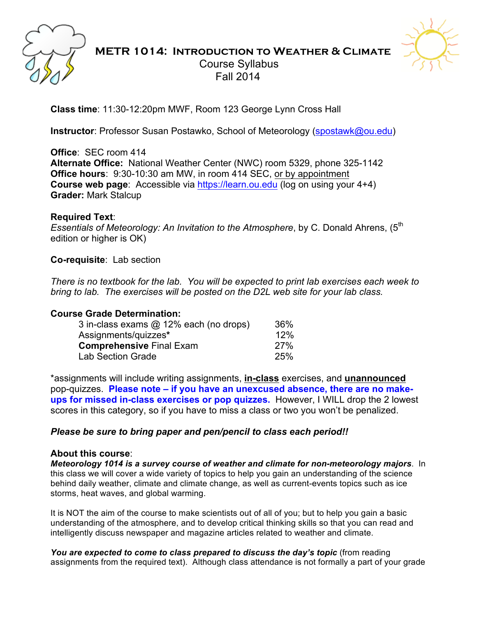

### **METR 1014: Introduction to Weather & Climate** Course Syllabus Fall 2014



**Class time**: 11:30-12:20pm MWF, Room 123 George Lynn Cross Hall

**Instructor**: Professor Susan Postawko, School of Meteorology (spostawk@ou.edu)

**Office**: SEC room 414 **Alternate Office:** National Weather Center (NWC) room 5329, phone 325-1142 **Office hours**: 9:30-10:30 am MW, in room 414 SEC, or by appointment **Course web page**: Accessible via https://learn.ou.edu (log on using your 4+4) **Grader:** Mark Stalcup

#### **Required Text**:

*Essentials of Meteorology: An Invitation to the Atmosphere, by C. Donald Ahrens, (5<sup>th</sup>)* edition or higher is OK)

**Co-requisite**: Lab section

*There is no textbook for the lab. You will be expected to print lab exercises each week to bring to lab. The exercises will be posted on the D2L web site for your lab class.*

#### **Course Grade Determination:**

| 3 in-class exams @ 12% each (no drops) | 36%        |
|----------------------------------------|------------|
| Assignments/quizzes*                   |            |
| <b>Comprehensive Final Exam</b>        | <b>27%</b> |
| Lab Section Grade                      | <b>25%</b> |

\*assignments will include writing assignments, **in-class** exercises, and **unannounced** pop-quizzes. **Please note – if you have an unexcused absence, there are no makeups for missed in-class exercises or pop quizzes.** However, I WILL drop the 2 lowest scores in this category, so if you have to miss a class or two you won't be penalized.

#### *Please be sure to bring paper and pen/pencil to class each period!!*

#### **About this course**:

*Meteorology 1014 is a survey course of weather and climate for non-meteorology majors*. In this class we will cover a wide variety of topics to help you gain an understanding of the science behind daily weather, climate and climate change, as well as current-events topics such as ice storms, heat waves, and global warming.

It is NOT the aim of the course to make scientists out of all of you; but to help you gain a basic understanding of the atmosphere, and to develop critical thinking skills so that you can read and intelligently discuss newspaper and magazine articles related to weather and climate.

*You are expected to come to class prepared to discuss the day's topic* (from reading assignments from the required text). Although class attendance is not formally a part of your grade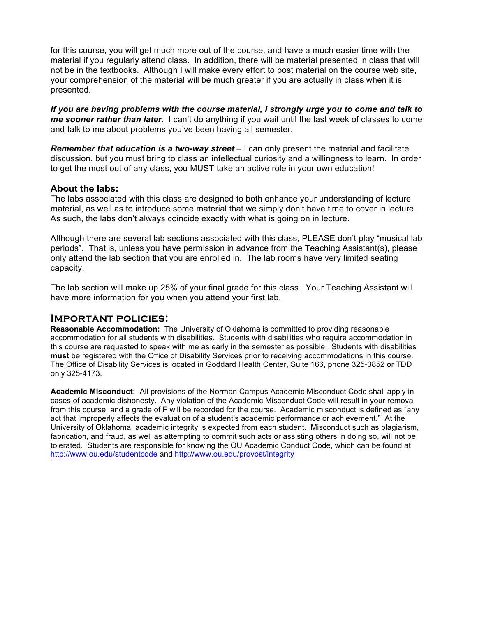for this course, you will get much more out of the course, and have a much easier time with the material if you regularly attend class. In addition, there will be material presented in class that will not be in the textbooks. Although I will make every effort to post material on the course web site, your comprehension of the material will be much greater if you are actually in class when it is presented.

*If you are having problems with the course material, I strongly urge you to come and talk to me sooner rather than later.* I can't do anything if you wait until the last week of classes to come and talk to me about problems you've been having all semester.

**Remember that education is a two-way street** – I can only present the material and facilitate discussion, but you must bring to class an intellectual curiosity and a willingness to learn. In order to get the most out of any class, you MUST take an active role in your own education!

#### **About the labs:**

The labs associated with this class are designed to both enhance your understanding of lecture material, as well as to introduce some material that we simply don't have time to cover in lecture. As such, the labs don't always coincide exactly with what is going on in lecture.

Although there are several lab sections associated with this class, PLEASE don't play "musical lab periods". That is, unless you have permission in advance from the Teaching Assistant(s), please only attend the lab section that you are enrolled in. The lab rooms have very limited seating capacity.

The lab section will make up 25% of your final grade for this class. Your Teaching Assistant will have more information for you when you attend your first lab.

#### **Important policies:**

**Reasonable Accommodation:** The University of Oklahoma is committed to providing reasonable accommodation for all students with disabilities. Students with disabilities who require accommodation in this course are requested to speak with me as early in the semester as possible. Students with disabilities **must** be registered with the Office of Disability Services prior to receiving accommodations in this course. The Office of Disability Services is located in Goddard Health Center, Suite 166, phone 325-3852 or TDD only 325-4173.

**Academic Misconduct:** All provisions of the Norman Campus Academic Misconduct Code shall apply in cases of academic dishonesty. Any violation of the Academic Misconduct Code will result in your removal from this course, and a grade of F will be recorded for the course. Academic misconduct is defined as "any act that improperly affects the evaluation of a student's academic performance or achievement." At the University of Oklahoma, academic integrity is expected from each student. Misconduct such as plagiarism, fabrication, and fraud, as well as attempting to commit such acts or assisting others in doing so, will not be tolerated. Students are responsible for knowing the OU Academic Conduct Code, which can be found at http://www.ou.edu/studentcode and http://www.ou.edu/provost/integrity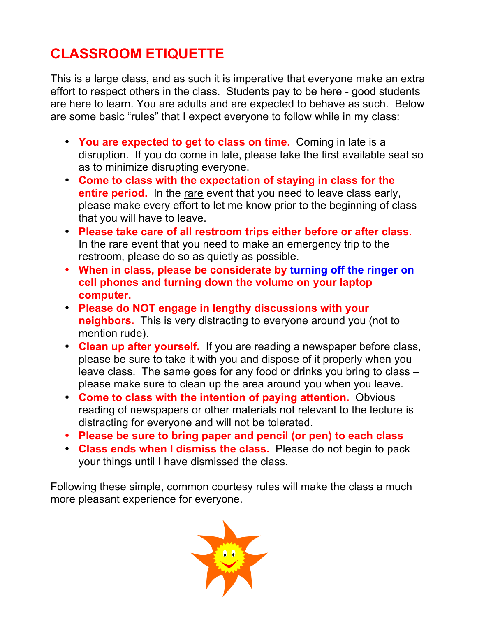# **CLASSROOM ETIQUETTE**

This is a large class, and as such it is imperative that everyone make an extra effort to respect others in the class. Students pay to be here - good students are here to learn. You are adults and are expected to behave as such. Below are some basic "rules" that I expect everyone to follow while in my class:

- **You are expected to get to class on time.** Coming in late is a disruption. If you do come in late, please take the first available seat so as to minimize disrupting everyone.
- **Come to class with the expectation of staying in class for the entire period.** In the rare event that you need to leave class early, please make every effort to let me know prior to the beginning of class that you will have to leave.
- **Please take care of all restroom trips either before or after class.** In the rare event that you need to make an emergency trip to the restroom, please do so as quietly as possible.
- **When in class, please be considerate by turning off the ringer on cell phones and turning down the volume on your laptop computer.**
- **Please do NOT engage in lengthy discussions with your neighbors.** This is very distracting to everyone around you (not to mention rude).
- **Clean up after yourself.** If you are reading a newspaper before class, please be sure to take it with you and dispose of it properly when you leave class. The same goes for any food or drinks you bring to class – please make sure to clean up the area around you when you leave.
- **Come to class with the intention of paying attention.** Obvious reading of newspapers or other materials not relevant to the lecture is distracting for everyone and will not be tolerated.
- **Please be sure to bring paper and pencil (or pen) to each class**
- **Class ends when I dismiss the class.** Please do not begin to pack your things until I have dismissed the class.

Following these simple, common courtesy rules will make the class a much more pleasant experience for everyone.